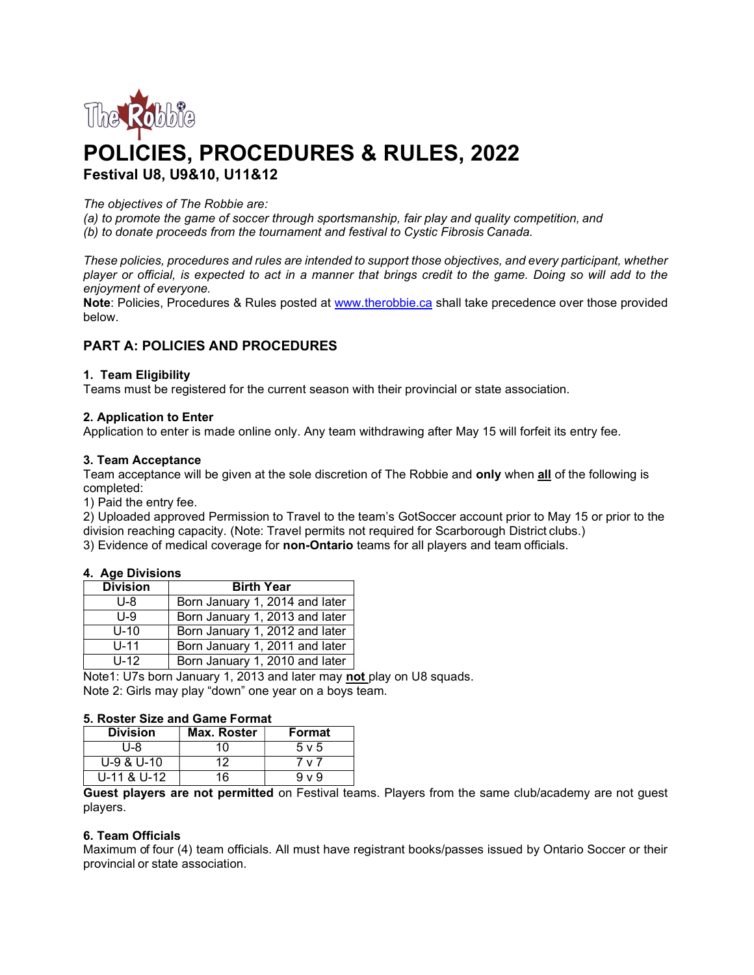

# POLICIES, PROCEDURES & RULES, 2022 Festival U8, U9&10, U11&12

## The objectives of The Robbie are:

(a) to promote the game of soccer through sportsmanship, fair play and quality competition, and (b) to donate proceeds from the tournament and festival to Cystic Fibrosis Canada.

These policies, procedures and rules are intended to support those objectives, and every participant, whether player or official, is expected to act in a manner that brings credit to the game. Doing so will add to the enjoyment of everyone.

Note: Policies, Procedures & Rules posted at www.therobbie.ca shall take precedence over those provided below.

# PART A: POLICIES AND PROCEDURES

# 1. Team Eligibility

Teams must be registered for the current season with their provincial or state association.

# 2. Application to Enter

Application to enter is made online only. Any team withdrawing after May 15 will forfeit its entry fee.

#### 3. Team Acceptance

Team acceptance will be given at the sole discretion of The Robbie and only when all of the following is completed:

1) Paid the entry fee.

2) Uploaded approved Permission to Travel to the team's GotSoccer account prior to May 15 or prior to the division reaching capacity. (Note: Travel permits not required for Scarborough District clubs.)

3) Evidence of medical coverage for non-Ontario teams for all players and team officials.

#### 4. Age Divisions

| <b>Division</b> | <b>Birth Year</b>              |
|-----------------|--------------------------------|
| U-8             | Born January 1, 2014 and later |
| $U - 9$         | Born January 1, 2013 and later |
| $U-10$          | Born January 1, 2012 and later |
| $U-11$          | Born January 1, 2011 and later |
| $U-12$          | Born January 1, 2010 and later |

Note1: U7s born January 1, 2013 and later may not play on U8 squads. Note 2: Girls may play "down" one year on a boys team.

#### 5. Roster Size and Game Format

| <b>Division</b> | Max. Roster | Format     |
|-----------------|-------------|------------|
| U-8             | 10          | $5 \vee 5$ |
| $U-9$ & $U-10$  | 12          | 7 v 7      |
| U-11 & U-12     | 16          | 9 v 9      |

Guest players are not permitted on Festival teams. Players from the same club/academy are not guest players.

#### 6. Team Officials

Maximum of four (4) team officials. All must have registrant books/passes issued by Ontario Soccer or their provincial or state association.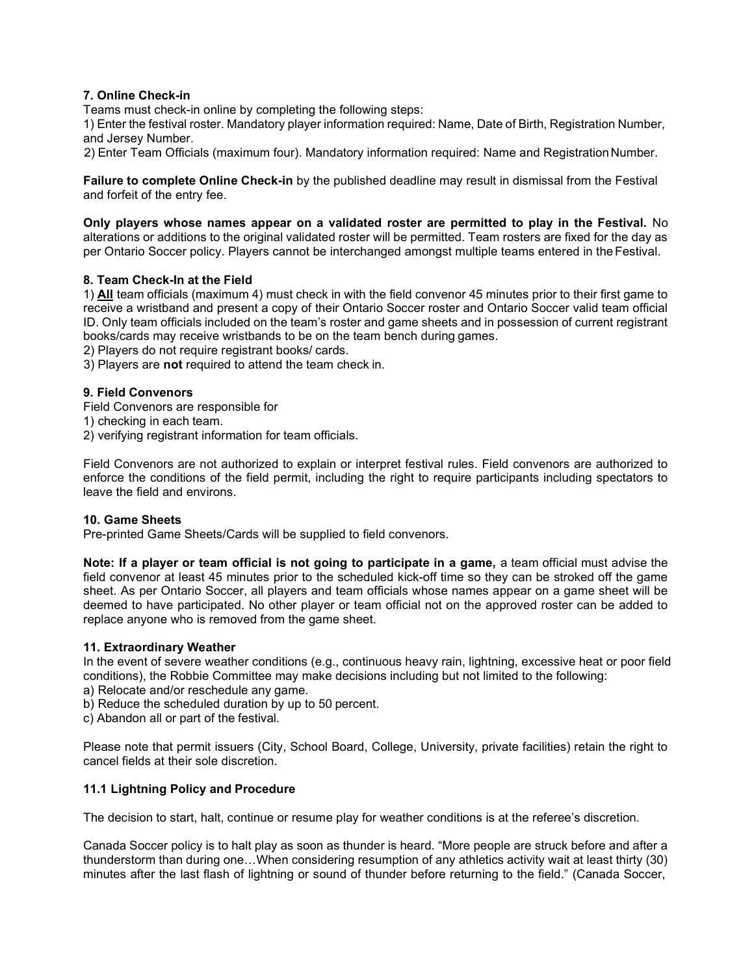# 7. Online Check-in

Teams must check-in online by completing the following steps:

1) Enter the festival roster. Mandatory player information required: Name, Date of Birth, Registration Number, and Jersey Number.

2) Enter Team Officials (maximum four). Mandatory information required: Name and Registration Number.

Failure to complete Online Check-in by the published deadline may result in dismissal from the Festival and forfeit of the entry fee.

Only players whose names appear on a validated roster are permitted to play in the Festival. No alterations or additions to the original validated roster will be permitted. Team rosters are fixed for the day as per Ontario Soccer policy. Players cannot be interchanged amongst multiple teams entered in the Festival.

# 8. Team Check-In at the Field

1) All team officials (maximum 4) must check in with the field convenor 45 minutes prior to their first game to receive a wristband and present a copy of their Ontario Soccer roster and Ontario Soccer valid team official ID. Only team officials included on the team's roster and game sheets and in possession of current registrant books/cards may receive wristbands to be on the team bench during games.

2) Players do not require registrant books/ cards.

3) Players are not required to attend the team check in.

# 9. Field Convenors

Field Convenors are responsible for

1) checking in each team.

2) verifying registrant information for team officials.

Field Convenors are not authorized to explain or interpret festival rules. Field convenors are authorized to enforce the conditions of the field permit, including the right to require participants including spectators to leave the field and environs.

#### 10. Game Sheets

Pre-printed Game Sheets/Cards will be supplied to field convenors.

Note: If a player or team official is not going to participate in a game, a team official must advise the field convenor at least 45 minutes prior to the scheduled kick-off time so they can be stroked off the game sheet. As per Ontario Soccer, all players and team officials whose names appear on a game sheet will be deemed to have participated. No other player or team official not on the approved roster can be added to replace anyone who is removed from the game sheet.

#### 11. Extraordinary Weather

In the event of severe weather conditions (e.g., continuous heavy rain, lightning, excessive heat or poor field conditions), the Robbie Committee may make decisions including but not limited to the following:

- a) Relocate and/or reschedule any game.
- b) Reduce the scheduled duration by up to 50 percent.
- c) Abandon all or part of the festival.

Please note that permit issuers (City, School Board, College, University, private facilities) retain the right to cancel fields at their sole discretion.

# 11.1 Lightning Policy and Procedure

The decision to start, halt, continue or resume play for weather conditions is at the referee's discretion.

Canada Soccer policy is to halt play as soon as thunder is heard. "More people are struck before and after a thunderstorm than during one…When considering resumption of any athletics activity wait at least thirty (30) minutes after the last flash of lightning or sound of thunder before returning to the field." (Canada Soccer,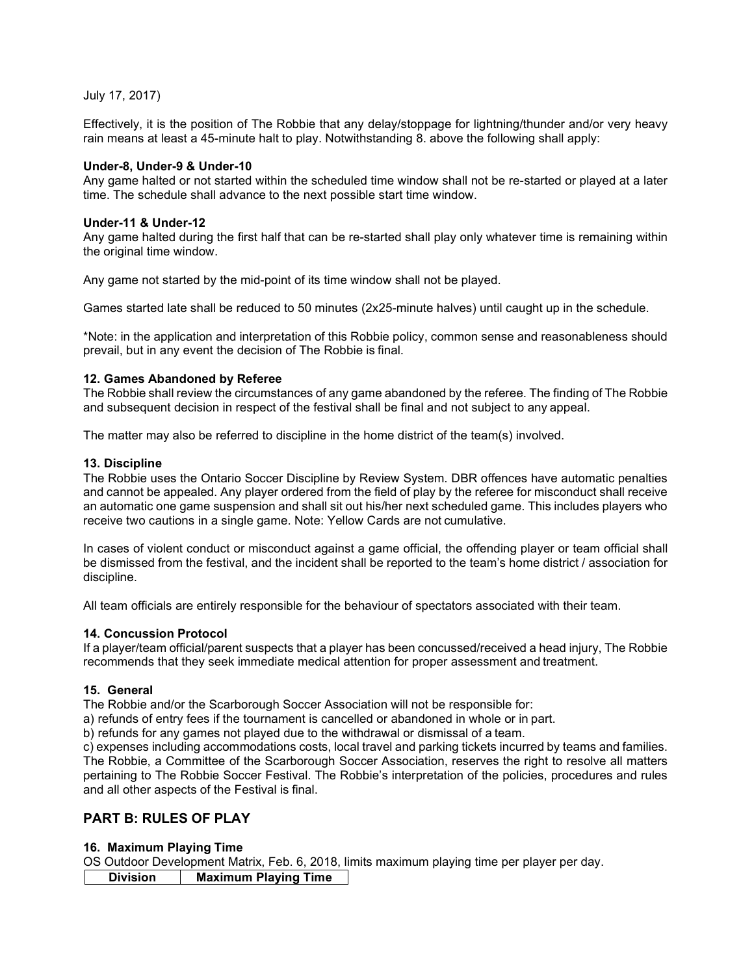July 17, 2017)

Effectively, it is the position of The Robbie that any delay/stoppage for lightning/thunder and/or very heavy rain means at least a 45-minute halt to play. Notwithstanding 8. above the following shall apply:

## Under-8, Under-9 & Under-10

Any game halted or not started within the scheduled time window shall not be re-started or played at a later time. The schedule shall advance to the next possible start time window.

# Under-11 & Under-12

Any game halted during the first half that can be re-started shall play only whatever time is remaining within the original time window.

Any game not started by the mid-point of its time window shall not be played.

Games started late shall be reduced to 50 minutes (2x25-minute halves) until caught up in the schedule.

\*Note: in the application and interpretation of this Robbie policy, common sense and reasonableness should prevail, but in any event the decision of The Robbie is final.

# 12. Games Abandoned by Referee

The Robbie shall review the circumstances of any game abandoned by the referee. The finding of The Robbie and subsequent decision in respect of the festival shall be final and not subject to any appeal.

The matter may also be referred to discipline in the home district of the team(s) involved.

#### 13. Discipline

The Robbie uses the Ontario Soccer Discipline by Review System. DBR offences have automatic penalties and cannot be appealed. Any player ordered from the field of play by the referee for misconduct shall receive an automatic one game suspension and shall sit out his/her next scheduled game. This includes players who receive two cautions in a single game. Note: Yellow Cards are not cumulative.

In cases of violent conduct or misconduct against a game official, the offending player or team official shall be dismissed from the festival, and the incident shall be reported to the team's home district / association for discipline.

All team officials are entirely responsible for the behaviour of spectators associated with their team.

#### 14. Concussion Protocol

If a player/team official/parent suspects that a player has been concussed/received a head injury, The Robbie recommends that they seek immediate medical attention for proper assessment and treatment.

# 15. General

The Robbie and/or the Scarborough Soccer Association will not be responsible for:

a) refunds of entry fees if the tournament is cancelled or abandoned in whole or in part.

b) refunds for any games not played due to the withdrawal or dismissal of a team.

c) expenses including accommodations costs, local travel and parking tickets incurred by teams and families. The Robbie, a Committee of the Scarborough Soccer Association, reserves the right to resolve all matters pertaining to The Robbie Soccer Festival. The Robbie's interpretation of the policies, procedures and rules and all other aspects of the Festival is final.

# PART B: RULES OF PLAY

# 16. Maximum Playing Time

OS Outdoor Development Matrix, Feb. 6, 2018, limits maximum playing time per player per day.

Division | Maximum Playing Time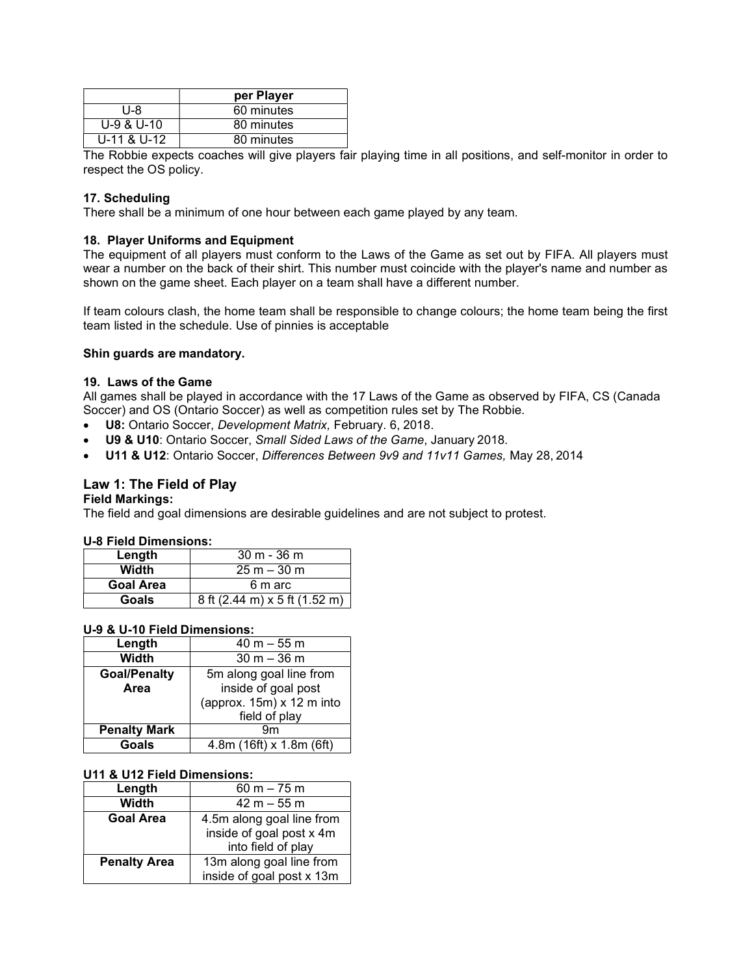|                | per Player |
|----------------|------------|
| U-8            | 60 minutes |
| $U-9$ & $U-10$ | 80 minutes |
| U-11 & U-12    | 80 minutes |

The Robbie expects coaches will give players fair playing time in all positions, and self-monitor in order to respect the OS policy.

# 17. Scheduling

There shall be a minimum of one hour between each game played by any team.

#### 18. Player Uniforms and Equipment

The equipment of all players must conform to the Laws of the Game as set out by FIFA. All players must wear a number on the back of their shirt. This number must coincide with the player's name and number as shown on the game sheet. Each player on a team shall have a different number.

If team colours clash, the home team shall be responsible to change colours; the home team being the first team listed in the schedule. Use of pinnies is acceptable

#### Shin guards are mandatory.

#### 19. Laws of the Game

All games shall be played in accordance with the 17 Laws of the Game as observed by FIFA, CS (Canada Soccer) and OS (Ontario Soccer) as well as competition rules set by The Robbie.

- **U8:** Ontario Soccer, Development Matrix, February. 6, 2018.
- U9 & U10: Ontario Soccer, Small Sided Laws of the Game, January 2018.
- U11 & U12: Ontario Soccer, Differences Between 9v9 and 11v11 Games, May 28, 2014

#### Law 1: The Field of Play

#### Field Markings:

The field and goal dimensions are desirable guidelines and are not subject to protest.

#### U-8 Field Dimensions:

| Length           | $30 m - 36 m$                 |  |
|------------------|-------------------------------|--|
| Width            | $25 m - 30 m$                 |  |
| <b>Goal Area</b> | 6 m arc                       |  |
| Goals            | 8 ft (2.44 m) x 5 ft (1.52 m) |  |

# U-9 & U-10 Field Dimensions:

| Length              | $40 m - 55 m$             |  |
|---------------------|---------------------------|--|
| Width               | $30 m - 36 m$             |  |
| <b>Goal/Penalty</b> | 5m along goal line from   |  |
| Area                | inside of goal post       |  |
|                     | (approx. 15m) x 12 m into |  |
|                     | field of play             |  |
| <b>Penalty Mark</b> | 9m                        |  |
| Goals               | 4.8m (16ft) x 1.8m (6ft)  |  |

#### U11 & U12 Field Dimensions:

| Length              | 60 m $-75$ m              |
|---------------------|---------------------------|
| Width               | $42 m - 55 m$             |
| <b>Goal Area</b>    | 4.5m along goal line from |
|                     | inside of goal post x 4m  |
|                     | into field of play        |
| <b>Penalty Area</b> | 13m along goal line from  |
|                     | inside of goal post x 13m |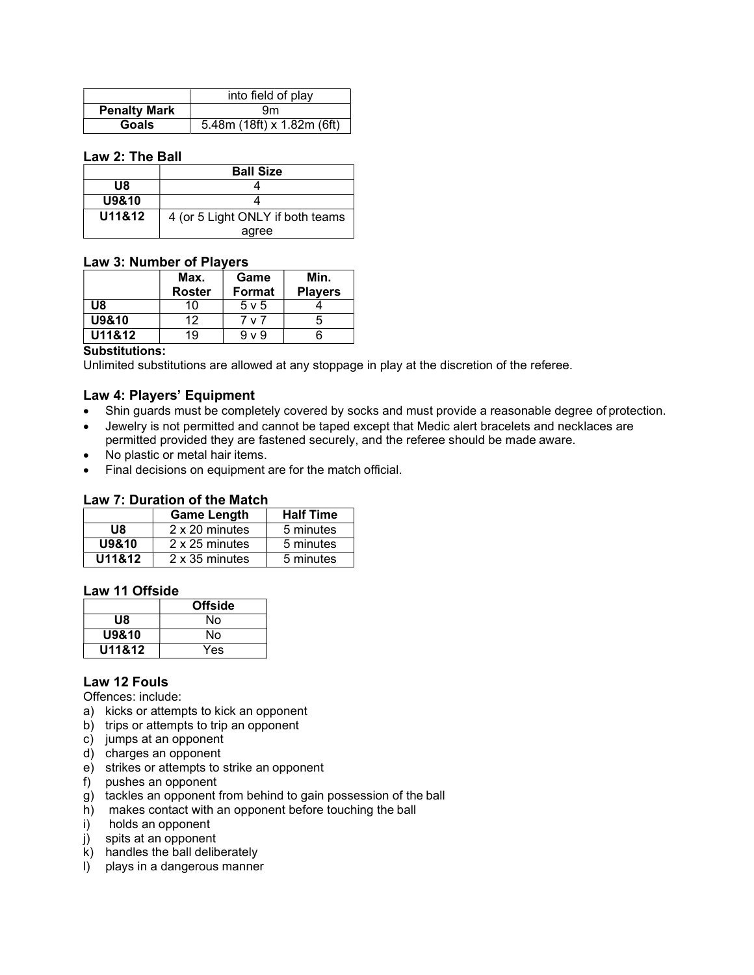|                     | into field of play         |
|---------------------|----------------------------|
| <b>Penalty Mark</b> | 9m                         |
| Goals               | 5.48m (18ft) x 1.82m (6ft) |

# Law 2: The Ball

|        | <b>Ball Size</b>                 |
|--------|----------------------------------|
| U8     |                                  |
| U9&10  |                                  |
| U11&12 | 4 (or 5 Light ONLY if both teams |
|        | agree                            |

# Law 3: Number of Players

|        | Max.<br><b>Roster</b> | Game<br><b>Format</b> | Min.<br><b>Players</b> |
|--------|-----------------------|-----------------------|------------------------|
| U8     | 10                    | $5 \vee 5$            |                        |
| U9&10  | 12                    | 'v7                   | G                      |
| U11&12 | 19                    | $9 \vee 9$            |                        |

#### Substitutions:

Unlimited substitutions are allowed at any stoppage in play at the discretion of the referee.

# Law 4: Players' Equipment

- Shin guards must be completely covered by socks and must provide a reasonable degree of protection.
- Jewelry is not permitted and cannot be taped except that Medic alert bracelets and necklaces are permitted provided they are fastened securely, and the referee should be made aware.
- No plastic or metal hair items.
- Final decisions on equipment are for the match official.

#### Law 7: Duration of the Match

|        | <b>Game Length</b> | <b>Half Time</b> |
|--------|--------------------|------------------|
| U8     | 2 x 20 minutes     | 5 minutes        |
| U9&10  | 2 x 25 minutes     | 5 minutes        |
| U11&12 | 2 x 35 minutes     | 5 minutes        |

## Law 11 Offside

|        | <b>Offside</b> |
|--------|----------------|
| U8     | Nο             |
| U9&10  | No             |
| U11&12 | Yes            |

# Law 12 Fouls

Offences: include:

- a) kicks or attempts to kick an opponent
- b) trips or attempts to trip an opponent
- c) jumps at an opponent
- d) charges an opponent
- e) strikes or attempts to strike an opponent
- f) pushes an opponent
- g) tackles an opponent from behind to gain possession of the ball
- h) makes contact with an opponent before touching the ball
- i) holds an opponent
- j) spits at an opponent
- k) handles the ball deliberately
- l) plays in a dangerous manner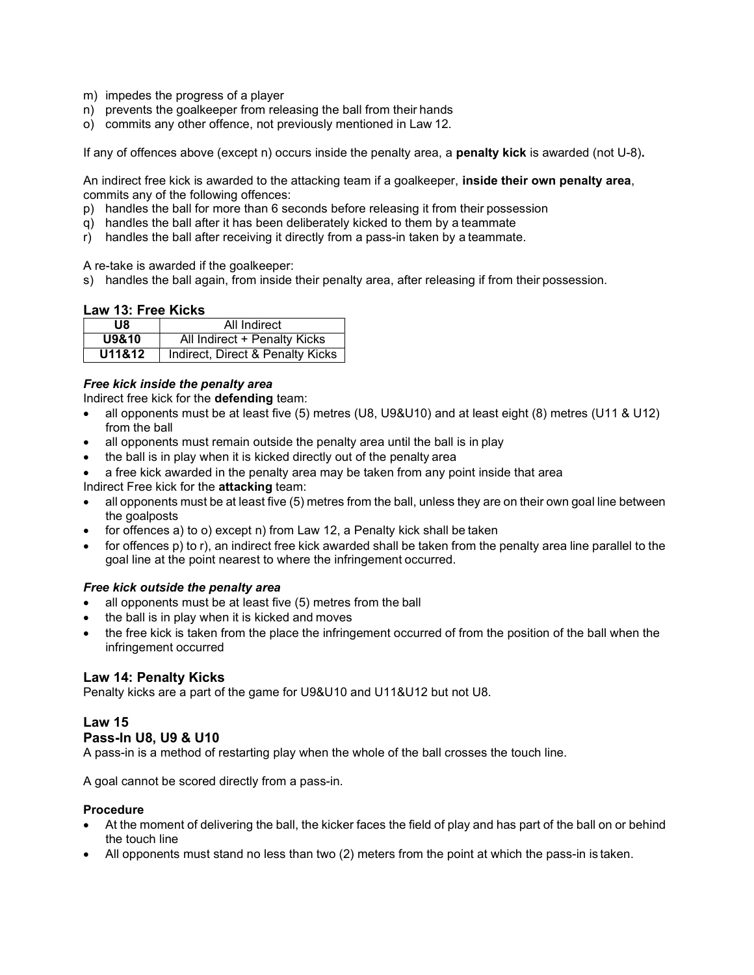- m) impedes the progress of a player
- n) prevents the goalkeeper from releasing the ball from their hands
- o) commits any other offence, not previously mentioned in Law 12.

If any of offences above (except n) occurs inside the penalty area, a **penalty kick** is awarded (not U-8).

An indirect free kick is awarded to the attacking team if a goalkeeper, inside their own penalty area, commits any of the following offences:

- p) handles the ball for more than 6 seconds before releasing it from their possession
- q) handles the ball after it has been deliberately kicked to them by a teammate
- r) handles the ball after receiving it directly from a pass-in taken by a teammate.

A re-take is awarded if the goalkeeper:

s) handles the ball again, from inside their penalty area, after releasing if from their possession.

#### Law 13: Free Kicks

| U8     | All Indirect                     |
|--------|----------------------------------|
| U9&10  | All Indirect + Penalty Kicks     |
| U11&12 | Indirect, Direct & Penalty Kicks |

#### Free kick inside the penalty area

Indirect free kick for the defending team:

- all opponents must be at least five (5) metres (U8, U9&U10) and at least eight (8) metres (U11 & U12) from the ball
- all opponents must remain outside the penalty area until the ball is in play
- the ball is in play when it is kicked directly out of the penalty area
- a free kick awarded in the penalty area may be taken from any point inside that area Indirect Free kick for the attacking team:
- all opponents must be at least five (5) metres from the ball, unless they are on their own goal line between the goalposts
- for offences a) to o) except n) from Law 12, a Penalty kick shall be taken
- for offences p) to r), an indirect free kick awarded shall be taken from the penalty area line parallel to the goal line at the point nearest to where the infringement occurred.

#### Free kick outside the penalty area

- all opponents must be at least five (5) metres from the ball
- the ball is in play when it is kicked and moves
- the free kick is taken from the place the infringement occurred of from the position of the ball when the infringement occurred

# Law 14: Penalty Kicks

Penalty kicks are a part of the game for U9&U10 and U11&U12 but not U8.

# Law 15

#### Pass-In U8, U9 & U10

A pass-in is a method of restarting play when the whole of the ball crosses the touch line.

A goal cannot be scored directly from a pass-in.

#### **Procedure**

- At the moment of delivering the ball, the kicker faces the field of play and has part of the ball on or behind the touch line
- All opponents must stand no less than two (2) meters from the point at which the pass-in is taken.